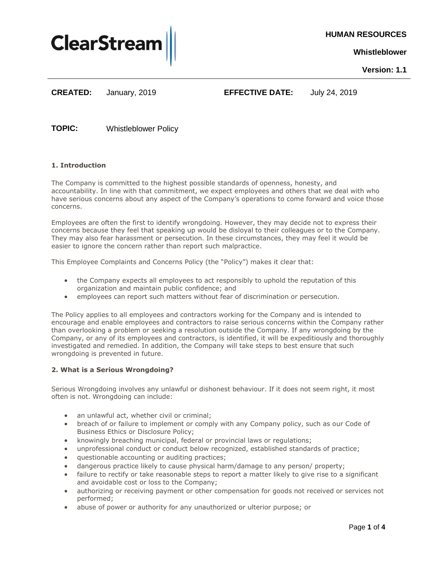

**HUMAN RESOURCES**

**Whistleblower**

**Version: 1.1**

**CREATED:**

January, 2019 **EFFECTIVE DATE:** July 24, 2019

**TOPIC:** Whistleblower Policy

# **1. Introduction**

The Company is committed to the highest possible standards of openness, honesty, and accountability. In line with that commitment, we expect employees and others that we deal with who have serious concerns about any aspect of the Company's operations to come forward and voice those concerns.

Employees are often the first to identify wrongdoing. However, they may decide not to express their concerns because they feel that speaking up would be disloyal to their colleagues or to the Company. They may also fear harassment or persecution. In these circumstances, they may feel it would be easier to ignore the concern rather than report such malpractice.

This Employee Complaints and Concerns Policy (the "Policy") makes it clear that:

- the Company expects all employees to act responsibly to uphold the reputation of this organization and maintain public confidence; and
- employees can report such matters without fear of discrimination or persecution.

The Policy applies to all employees and contractors working for the Company and is intended to encourage and enable employees and contractors to raise serious concerns within the Company rather than overlooking a problem or seeking a resolution outside the Company. If any wrongdoing by the Company, or any of its employees and contractors, is identified, it will be expeditiously and thoroughly investigated and remedied. In addition, the Company will take steps to best ensure that such wrongdoing is prevented in future.

# **2. What is a Serious Wrongdoing?**

Serious Wrongdoing involves any unlawful or dishonest behaviour. If it does not seem right, it most often is not. Wrongdoing can include:

- an unlawful act, whether civil or criminal;
- breach of or failure to implement or comply with any Company policy, such as our Code of Business Ethics or Disclosure Policy;
- knowingly breaching municipal, federal or provincial laws or regulations;
- unprofessional conduct or conduct below recognized, established standards of practice;
- questionable accounting or auditing practices;
- dangerous practice likely to cause physical harm/damage to any person/ property;
- failure to rectify or take reasonable steps to report a matter likely to give rise to a significant and avoidable cost or loss to the Company;
- authorizing or receiving payment or other compensation for goods not received or services not performed;
- abuse of power or authority for any unauthorized or ulterior purpose; or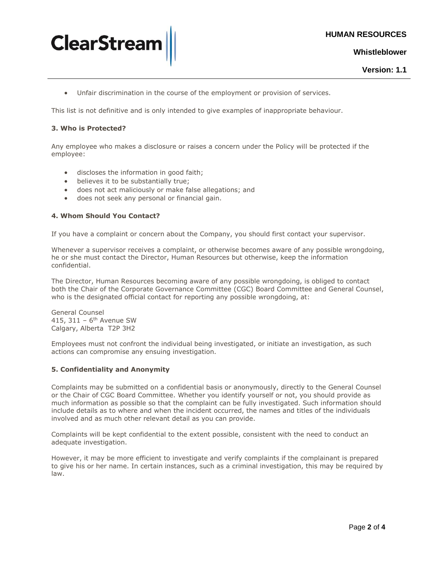

**Whistleblower**



Unfair discrimination in the course of the employment or provision of services.

This list is not definitive and is only intended to give examples of inappropriate behaviour.

#### **3. Who is Protected?**

**ClearStrea** 

Any employee who makes a disclosure or raises a concern under the Policy will be protected if the employee:

- discloses the information in good faith;
- believes it to be substantially true;
- does not act maliciously or make false allegations; and
- does not seek any personal or financial gain.

#### **4. Whom Should You Contact?**

If you have a complaint or concern about the Company, you should first contact your supervisor.

Whenever a supervisor receives a complaint, or otherwise becomes aware of any possible wrongdoing, he or she must contact the Director, Human Resources but otherwise, keep the information confidential.

The Director, Human Resources becoming aware of any possible wrongdoing, is obliged to contact both the Chair of the Corporate Governance Committee (CGC) Board Committee and General Counsel, who is the designated official contact for reporting any possible wrongdoing, at:

General Counsel 415, 311 - 6<sup>th</sup> Avenue SW Calgary, Alberta T2P 3H2

Employees must not confront the individual being investigated, or initiate an investigation, as such actions can compromise any ensuing investigation.

#### **5. Confidentiality and Anonymity**

Complaints may be submitted on a confidential basis or anonymously, directly to the General Counsel or the Chair of CGC Board Committee. Whether you identify yourself or not, you should provide as much information as possible so that the complaint can be fully investigated. Such information should include details as to where and when the incident occurred, the names and titles of the individuals involved and as much other relevant detail as you can provide.

Complaints will be kept confidential to the extent possible, consistent with the need to conduct an adequate investigation.

However, it may be more efficient to investigate and verify complaints if the complainant is prepared to give his or her name. In certain instances, such as a criminal investigation, this may be required by law.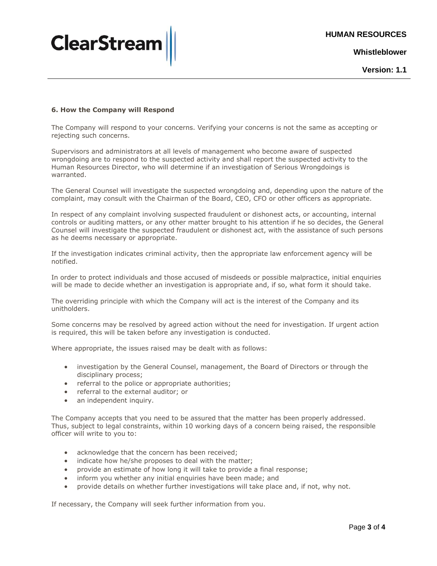

**Whistleblower**

**Version: 1.1**

## **6. How the Company will Respond**

The Company will respond to your concerns. Verifying your concerns is not the same as accepting or rejecting such concerns.

Supervisors and administrators at all levels of management who become aware of suspected wrongdoing are to respond to the suspected activity and shall report the suspected activity to the Human Resources Director, who will determine if an investigation of Serious Wrongdoings is warranted.

The General Counsel will investigate the suspected wrongdoing and, depending upon the nature of the complaint, may consult with the Chairman of the Board, CEO, CFO or other officers as appropriate.

In respect of any complaint involving suspected fraudulent or dishonest acts, or accounting, internal controls or auditing matters, or any other matter brought to his attention if he so decides, the General Counsel will investigate the suspected fraudulent or dishonest act, with the assistance of such persons as he deems necessary or appropriate.

If the investigation indicates criminal activity, then the appropriate law enforcement agency will be notified.

In order to protect individuals and those accused of misdeeds or possible malpractice, initial enquiries will be made to decide whether an investigation is appropriate and, if so, what form it should take.

The overriding principle with which the Company will act is the interest of the Company and its unitholders.

Some concerns may be resolved by agreed action without the need for investigation. If urgent action is required, this will be taken before any investigation is conducted.

Where appropriate, the issues raised may be dealt with as follows:

- investigation by the General Counsel, management, the Board of Directors or through the disciplinary process;
- referral to the police or appropriate authorities;
- referral to the external auditor; or
- an independent inquiry.

The Company accepts that you need to be assured that the matter has been properly addressed. Thus, subject to legal constraints, within 10 working days of a concern being raised, the responsible officer will write to you to:

- acknowledge that the concern has been received;
- indicate how he/she proposes to deal with the matter;
- provide an estimate of how long it will take to provide a final response;
- inform you whether any initial enquiries have been made; and
- provide details on whether further investigations will take place and, if not, why not.

If necessary, the Company will seek further information from you.